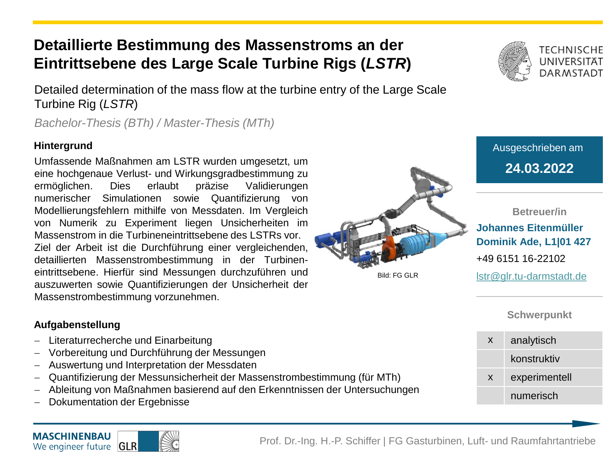## **Detaillierte Bestimmung des Massenstroms an der Eintrittsebene des Large Scale Turbine Rigs (***LSTR***)**

Detailed determination of the mass flow at the turbine entry of the Large Scale Turbine Rig (*LSTR*)

*Bachelor-Thesis (BTh) / Master-Thesis (MTh)*

### **Hintergrund**

**24.03.2022** Umfassende Maßnahmen am LSTR wurden umgesetzt, um eine hochgenaue Verlust- und Wirkungsgradbestimmung zu ermöglichen. Dies erlaubt präzise Validierungen numerischer Simulationen sowie Quantifizierung von Modellierungsfehlern mithilfe von Messdaten. Im Vergleich von Numerik zu Experiment liegen Unsicherheiten im Massenstrom in die Turbineneintrittsebene des LSTRs vor. Ziel der Arbeit ist die Durchführung einer vergleichenden, detaillierten Massenstrombestimmung in der Turbineneintrittsebene. Hierfür sind Messungen durchzuführen und auszuwerten sowie Quantifizierungen der Unsicherheit der Massenstrombestimmung vorzunehmen.



Ausgeschrieben am

**Betreuer/in Johannes Eitenmüller Dominik Ade, L1|01 427** +49 6151 16-22102 lstr@glr.tu-darmstadt.de

Bild: FG GLR

## **Schwerpunkt**

| X | analytisch    |
|---|---------------|
|   | konstruktiv   |
| X | experimentell |
|   | numerisch     |

#### **Aufgabenstellung**

- − Literaturrecherche und Einarbeitung
- − Vorbereitung und Durchführung der Messungen
- − Auswertung und Interpretation der Messdaten
- Quantifizierung der Messunsicherheit der Massenstrombestimmung (für MTh)
- − Ableitung von Maßnahmen basierend auf den Erkenntnissen der Untersuchungen
- − Dokumentation der Ergebnisse